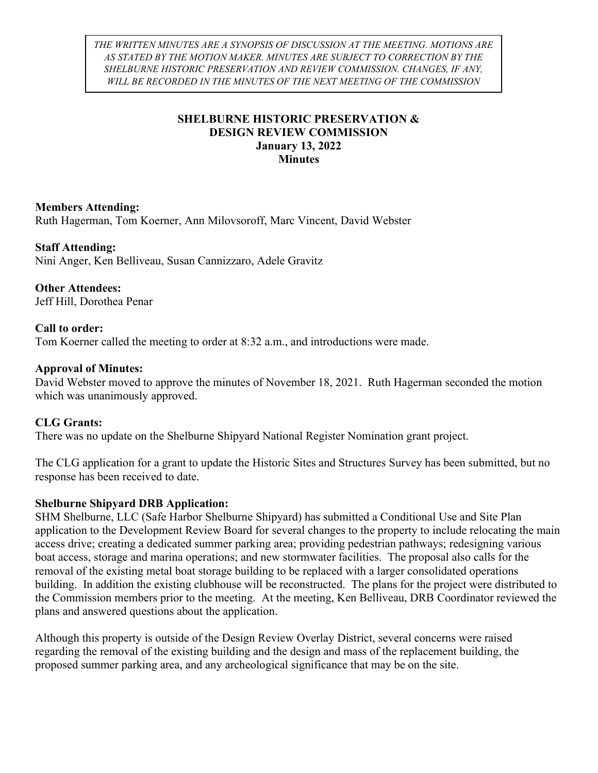THE WRITTEN MINUTES ARE A SYNOPSIS OF DISCUSSION AT THE MEETING. MOTIONS ARE AS STATED BY THE MOTION MAKER. MINUTES ARE SUBJECT TO CORRECTION BY THE SHELBURNE HISTORIC PRESERVATION AND REVIEW COMMISSION. CHANGES, IF ANY, WILL BE RECORDED IN THE MINUTES OF THE NEXT MEETING OF THE COMMISSION

## SHELBURNE HISTORIC PRESERVATION & DESIGN REVIEW COMMISSION January 13, 2022 **Minutes**

## Members Attending:

Ruth Hagerman, Tom Koerner, Ann Milovsoroff, Marc Vincent, David Webster

### Staff Attending:

Nini Anger, Ken Belliveau, Susan Cannizzaro, Adele Gravitz

#### Other Attendees: Jeff Hill, Dorothea Penar

## Call to order:

Tom Koerner called the meeting to order at 8:32 a.m., and introductions were made.

### Approval of Minutes:

David Webster moved to approve the minutes of November 18, 2021. Ruth Hagerman seconded the motion which was unanimously approved.

### CLG Grants:

There was no update on the Shelburne Shipyard National Register Nomination grant project.

The CLG application for a grant to update the Historic Sites and Structures Survey has been submitted, but no response has been received to date.

### Shelburne Shipyard DRB Application:

SHM Shelburne, LLC (Safe Harbor Shelburne Shipyard) has submitted a Conditional Use and Site Plan application to the Development Review Board for several changes to the property to include relocating the main access drive; creating a dedicated summer parking area; providing pedestrian pathways; redesigning various boat access, storage and marina operations; and new stormwater facilities. The proposal also calls for the removal of the existing metal boat storage building to be replaced with a larger consolidated operations building. In addition the existing clubhouse will be reconstructed. The plans for the project were distributed to the Commission members prior to the meeting. At the meeting, Ken Belliveau, DRB Coordinator reviewed the plans and answered questions about the application.

Although this property is outside of the Design Review Overlay District, several concerns were raised regarding the removal of the existing building and the design and mass of the replacement building, the proposed summer parking area, and any archeological significance that may be on the site.